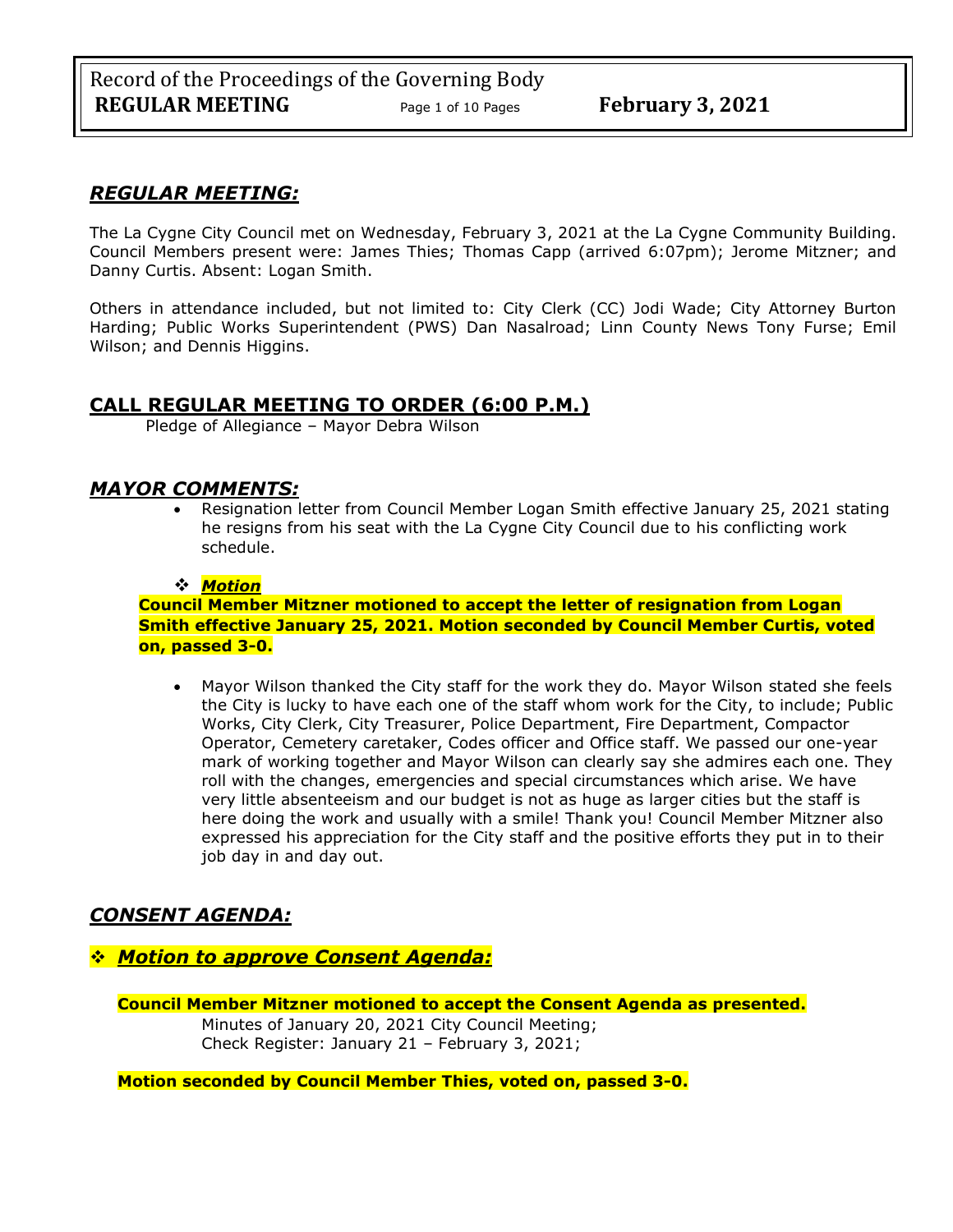## *REGULAR MEETING:*

The La Cygne City Council met on Wednesday, February 3, 2021 at the La Cygne Community Building. Council Members present were: James Thies; Thomas Capp (arrived 6:07pm); Jerome Mitzner; and Danny Curtis. Absent: Logan Smith.

Others in attendance included, but not limited to: City Clerk (CC) Jodi Wade; City Attorney Burton Harding; Public Works Superintendent (PWS) Dan Nasalroad; Linn County News Tony Furse; Emil Wilson; and Dennis Higgins.

## **CALL REGULAR MEETING TO ORDER (6:00 P.M.)**

Pledge of Allegiance – Mayor Debra Wilson

## *MAYOR COMMENTS:*

• Resignation letter from Council Member Logan Smith effective January 25, 2021 stating he resigns from his seat with the La Cygne City Council due to his conflicting work schedule.

### ❖ *Motion*

### **Council Member Mitzner motioned to accept the letter of resignation from Logan Smith effective January 25, 2021. Motion seconded by Council Member Curtis, voted on, passed 3-0.**

• Mayor Wilson thanked the City staff for the work they do. Mayor Wilson stated she feels the City is lucky to have each one of the staff whom work for the City, to include; Public Works, City Clerk, City Treasurer, Police Department, Fire Department, Compactor Operator, Cemetery caretaker, Codes officer and Office staff. We passed our one-year mark of working together and Mayor Wilson can clearly say she admires each one. They roll with the changes, emergencies and special circumstances which arise. We have very little absenteeism and our budget is not as huge as larger cities but the staff is here doing the work and usually with a smile! Thank you! Council Member Mitzner also expressed his appreciation for the City staff and the positive efforts they put in to their job day in and day out.

## *CONSENT AGENDA:*

## ❖ *Motion to approve Consent Agenda:*

**Council Member Mitzner motioned to accept the Consent Agenda as presented.** Minutes of January 20, 2021 City Council Meeting; Check Register: January 21 – February 3, 2021;

**Motion seconded by Council Member Thies, voted on, passed 3-0.**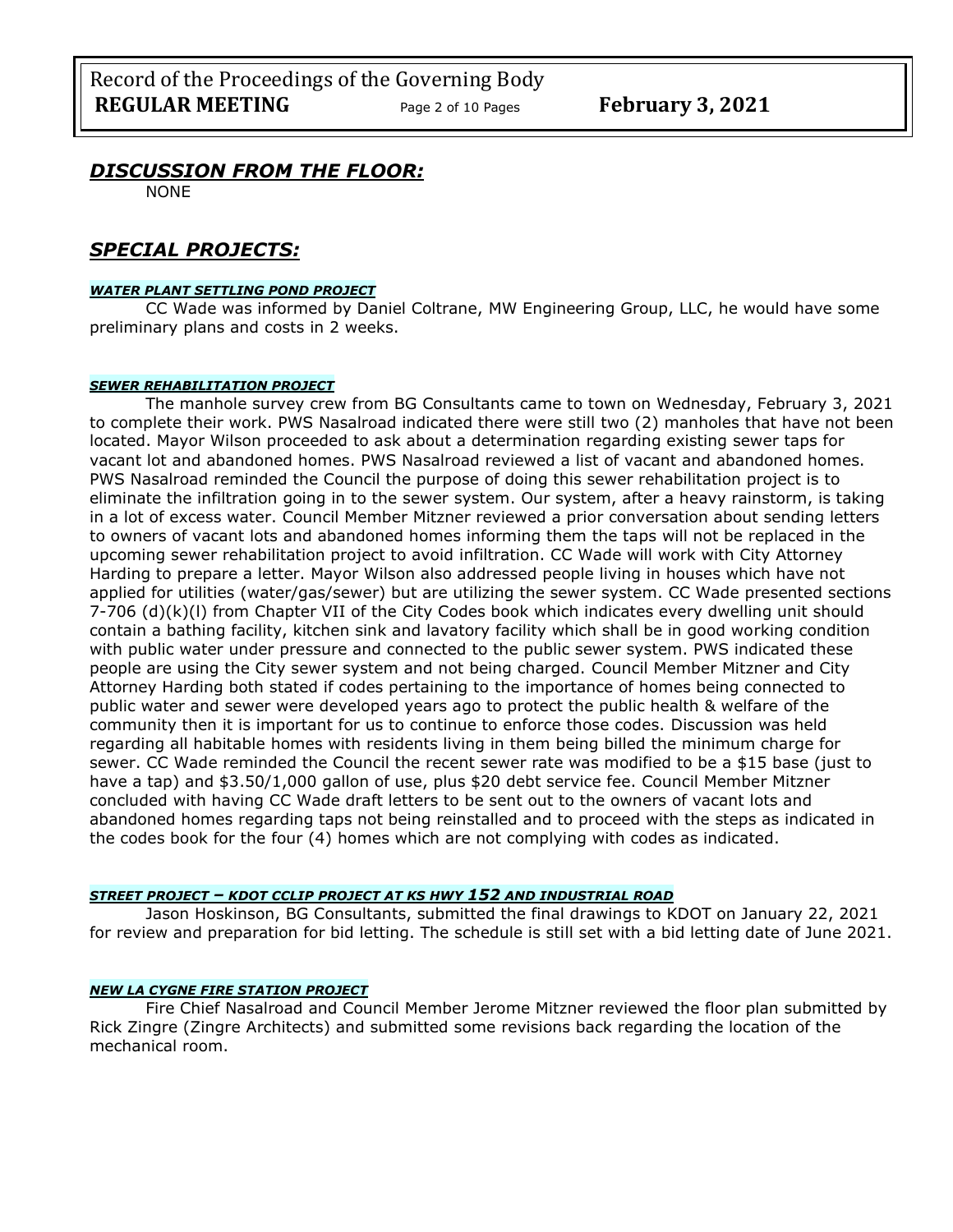## *DISCUSSION FROM THE FLOOR:*

NONE

## *SPECIAL PROJECTS:*

#### *WATER PLANT SETTLING POND PROJECT*

CC Wade was informed by Daniel Coltrane, MW Engineering Group, LLC, he would have some preliminary plans and costs in 2 weeks.

#### *SEWER REHABILITATION PROJECT*

The manhole survey crew from BG Consultants came to town on Wednesday, February 3, 2021 to complete their work. PWS Nasalroad indicated there were still two (2) manholes that have not been located. Mayor Wilson proceeded to ask about a determination regarding existing sewer taps for vacant lot and abandoned homes. PWS Nasalroad reviewed a list of vacant and abandoned homes. PWS Nasalroad reminded the Council the purpose of doing this sewer rehabilitation project is to eliminate the infiltration going in to the sewer system. Our system, after a heavy rainstorm, is taking in a lot of excess water. Council Member Mitzner reviewed a prior conversation about sending letters to owners of vacant lots and abandoned homes informing them the taps will not be replaced in the upcoming sewer rehabilitation project to avoid infiltration. CC Wade will work with City Attorney Harding to prepare a letter. Mayor Wilson also addressed people living in houses which have not applied for utilities (water/gas/sewer) but are utilizing the sewer system. CC Wade presented sections 7-706 (d)(k)(l) from Chapter VII of the City Codes book which indicates every dwelling unit should contain a bathing facility, kitchen sink and lavatory facility which shall be in good working condition with public water under pressure and connected to the public sewer system. PWS indicated these people are using the City sewer system and not being charged. Council Member Mitzner and City Attorney Harding both stated if codes pertaining to the importance of homes being connected to public water and sewer were developed years ago to protect the public health & welfare of the community then it is important for us to continue to enforce those codes. Discussion was held regarding all habitable homes with residents living in them being billed the minimum charge for sewer. CC Wade reminded the Council the recent sewer rate was modified to be a \$15 base (just to have a tap) and \$3.50/1,000 gallon of use, plus \$20 debt service fee. Council Member Mitzner concluded with having CC Wade draft letters to be sent out to the owners of vacant lots and abandoned homes regarding taps not being reinstalled and to proceed with the steps as indicated in the codes book for the four (4) homes which are not complying with codes as indicated.

#### *STREET PROJECT – KDOT CCLIP PROJECT AT KS HWY 152 AND INDUSTRIAL ROAD*

Jason Hoskinson, BG Consultants, submitted the final drawings to KDOT on January 22, 2021 for review and preparation for bid letting. The schedule is still set with a bid letting date of June 2021.

### *NEW LA CYGNE FIRE STATION PROJECT*

Fire Chief Nasalroad and Council Member Jerome Mitzner reviewed the floor plan submitted by Rick Zingre (Zingre Architects) and submitted some revisions back regarding the location of the mechanical room.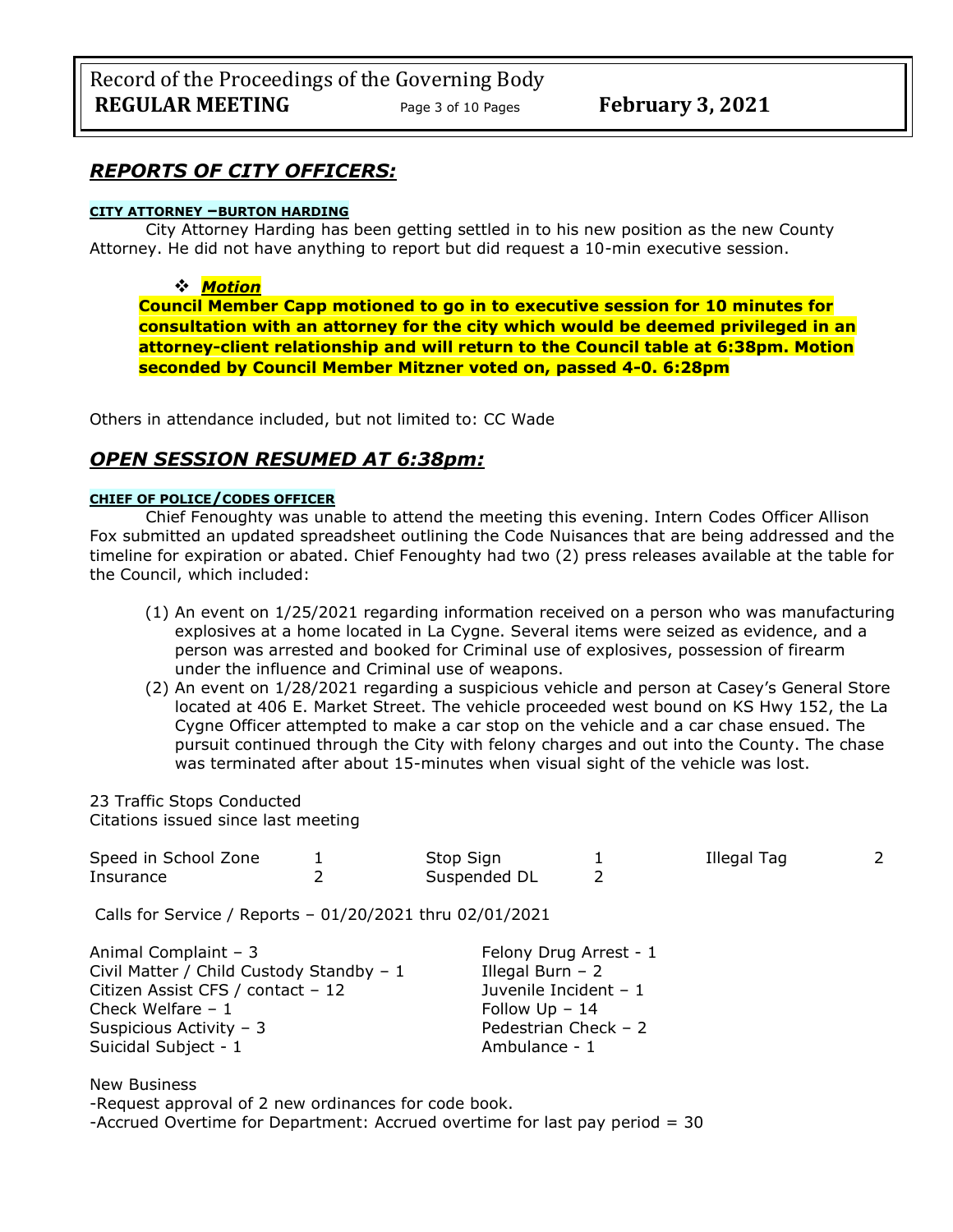## *REPORTS OF CITY OFFICERS:*

#### **CITY ATTORNEY –BURTON HARDING**

City Attorney Harding has been getting settled in to his new position as the new County Attorney. He did not have anything to report but did request a 10-min executive session.

### ❖ *Motion*

**Council Member Capp motioned to go in to executive session for 10 minutes for consultation with an attorney for the city which would be deemed privileged in an attorney-client relationship and will return to the Council table at 6:38pm. Motion seconded by Council Member Mitzner voted on, passed 4-0. 6:28pm** 

Others in attendance included, but not limited to: CC Wade

## *OPEN SESSION RESUMED AT 6:38pm:*

#### **CHIEF OF POLICE/CODES OFFICER**

Chief Fenoughty was unable to attend the meeting this evening. Intern Codes Officer Allison Fox submitted an updated spreadsheet outlining the Code Nuisances that are being addressed and the timeline for expiration or abated. Chief Fenoughty had two (2) press releases available at the table for the Council, which included:

- (1) An event on 1/25/2021 regarding information received on a person who was manufacturing explosives at a home located in La Cygne. Several items were seized as evidence, and a person was arrested and booked for Criminal use of explosives, possession of firearm under the influence and Criminal use of weapons.
- (2) An event on 1/28/2021 regarding a suspicious vehicle and person at Casey's General Store located at 406 E. Market Street. The vehicle proceeded west bound on KS Hwy 152, the La Cygne Officer attempted to make a car stop on the vehicle and a car chase ensued. The pursuit continued through the City with felony charges and out into the County. The chase was terminated after about 15-minutes when visual sight of the vehicle was lost.

#### 23 Traffic Stops Conducted Citations issued since last meeting

| Speed in School Zone<br>Insurance                                                                                                                                              |  | Stop Sign<br>Suspended DL                                                                                                         | $\mathcal{P}$ | Illegal Tag | 2 |
|--------------------------------------------------------------------------------------------------------------------------------------------------------------------------------|--|-----------------------------------------------------------------------------------------------------------------------------------|---------------|-------------|---|
| Calls for Service / Reports - 01/20/2021 thru 02/01/2021                                                                                                                       |  |                                                                                                                                   |               |             |   |
| Animal Complaint - 3<br>Civil Matter / Child Custody Standby - 1<br>Citizen Assist CFS / contact - 12<br>Check Welfare $-1$<br>Suspicious Activity - 3<br>Suicidal Subject - 1 |  | Felony Drug Arrest - 1<br>Illegal Burn $-2$<br>Juvenile Incident - 1<br>Follow $Up - 14$<br>Pedestrian Check - 2<br>Ambulance - 1 |               |             |   |
| <b>New Business</b><br>-Request approval of 2 new ordinances for code book.<br>-Accrued Overtime for Department: Accrued overtime for last pay period $=$ 30                   |  |                                                                                                                                   |               |             |   |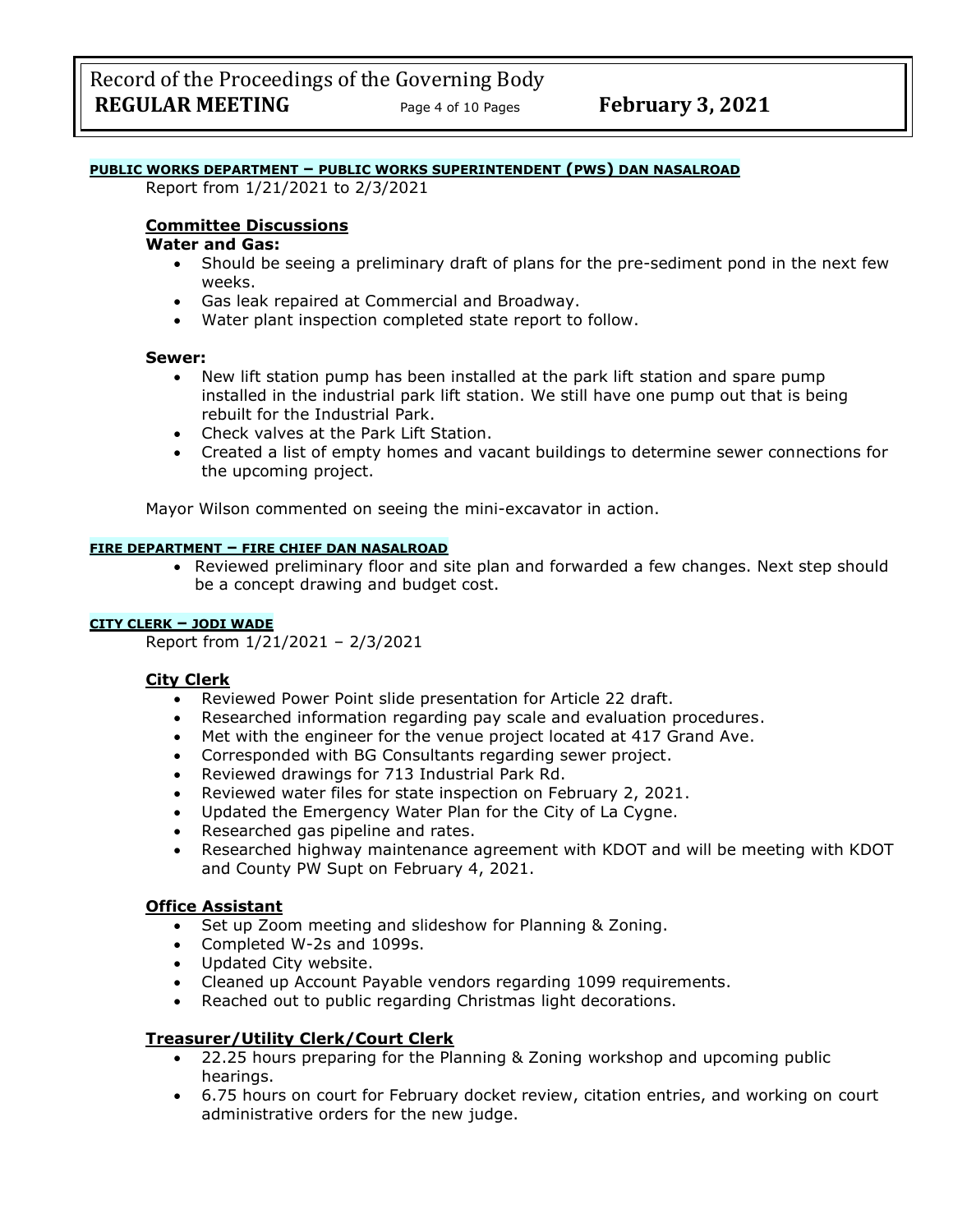### **PUBLIC WORKS DEPARTMENT – PUBLIC WORKS SUPERINTENDENT (PWS) DAN NASALROAD**

Report from 1/21/2021 to 2/3/2021

### **Committee Discussions**

#### **Water and Gas:**

- Should be seeing a preliminary draft of plans for the pre-sediment pond in the next few weeks.
- Gas leak repaired at Commercial and Broadway.
- Water plant inspection completed state report to follow.

#### **Sewer:**

- New lift station pump has been installed at the park lift station and spare pump installed in the industrial park lift station. We still have one pump out that is being rebuilt for the Industrial Park.
- Check valves at the Park Lift Station.
- Created a list of empty homes and vacant buildings to determine sewer connections for the upcoming project.

Mayor Wilson commented on seeing the mini-excavator in action.

### **FIRE DEPARTMENT – FIRE CHIEF DAN NASALROAD**

• Reviewed preliminary floor and site plan and forwarded a few changes. Next step should be a concept drawing and budget cost.

#### **CITY CLERK – JODI WADE**

Report from 1/21/2021 – 2/3/2021

#### **City Clerk**

- Reviewed Power Point slide presentation for Article 22 draft.
- Researched information regarding pay scale and evaluation procedures.
- Met with the engineer for the venue project located at 417 Grand Ave.
- Corresponded with BG Consultants regarding sewer project.
- Reviewed drawings for 713 Industrial Park Rd.
- Reviewed water files for state inspection on February 2, 2021.
- Updated the Emergency Water Plan for the City of La Cygne.
- Researched gas pipeline and rates.
- Researched highway maintenance agreement with KDOT and will be meeting with KDOT and County PW Supt on February 4, 2021.

#### **Office Assistant**

- Set up Zoom meeting and slideshow for Planning & Zoning.
- Completed W-2s and 1099s.
- Updated City website.
- Cleaned up Account Payable vendors regarding 1099 requirements.
- Reached out to public regarding Christmas light decorations.

### **Treasurer/Utility Clerk/Court Clerk**

- 22.25 hours preparing for the Planning & Zoning workshop and upcoming public hearings.
- 6.75 hours on court for February docket review, citation entries, and working on court administrative orders for the new judge.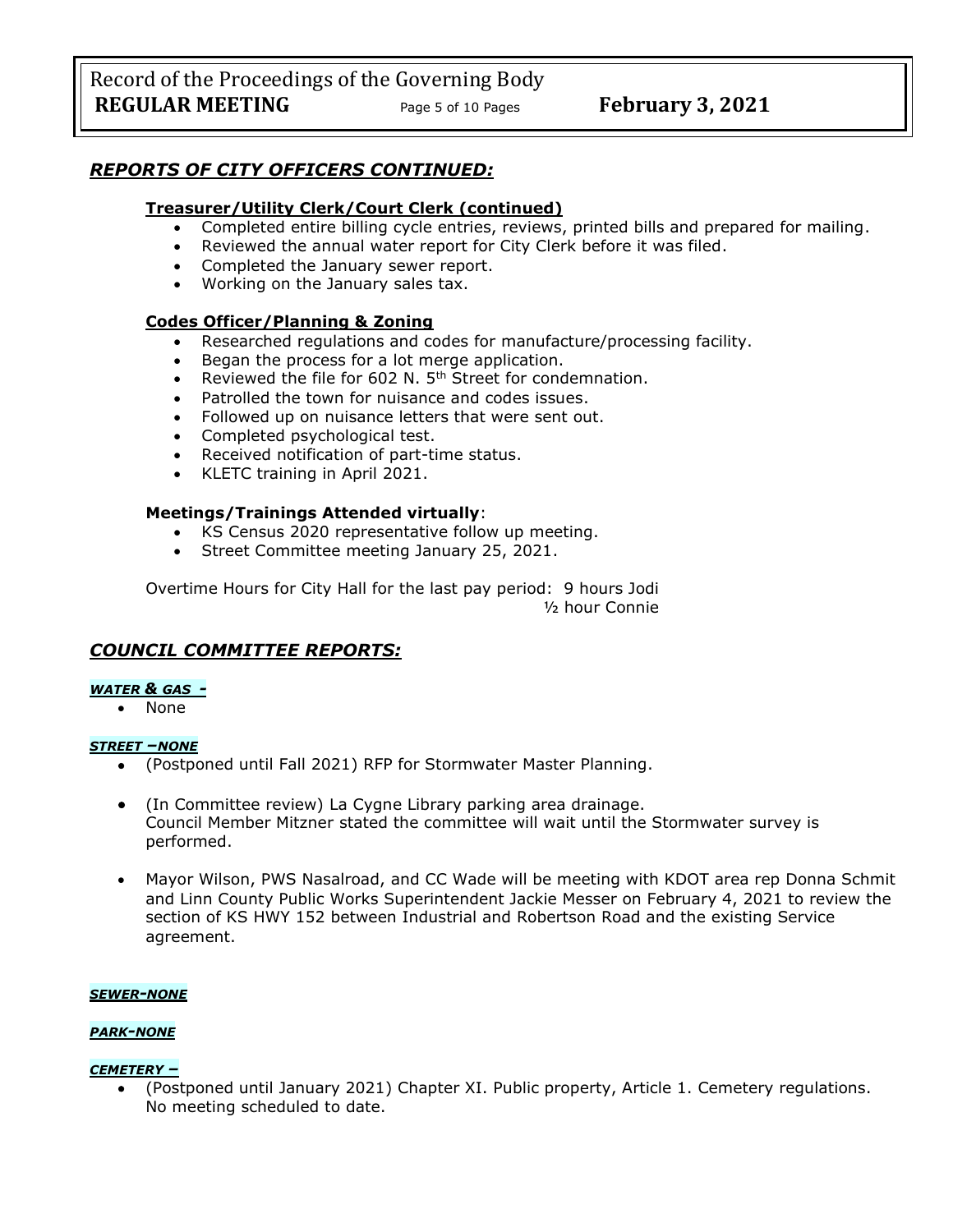Record of the Proceedings of the Governing Body **REGULAR MEETING** Page 5 of 10 Pages **February 3, 2021** 

## *REPORTS OF CITY OFFICERS CONTINUED:*

### **Treasurer/Utility Clerk/Court Clerk (continued)**

- Completed entire billing cycle entries, reviews, printed bills and prepared for mailing.
- Reviewed the annual water report for City Clerk before it was filed.
- Completed the January sewer report.
- Working on the January sales tax.

#### **Codes Officer/Planning & Zoning**

- Researched regulations and codes for manufacture/processing facility.
- Began the process for a lot merge application.
- Reviewed the file for 602 N.  $5<sup>th</sup>$  Street for condemnation.
- Patrolled the town for nuisance and codes issues.
- Followed up on nuisance letters that were sent out.<br>• Completed psychological test.
- Completed psychological test.
- Received notification of part-time status.
- KLETC training in April 2021.

#### **Meetings/Trainings Attended virtually**:

- KS Census 2020 representative follow up meeting.
- Street Committee meeting January 25, 2021.

Overtime Hours for City Hall for the last pay period: 9 hours Jodi ½ hour Connie

## *COUNCIL COMMITTEE REPORTS:*

#### *WATER & GAS -*

• None

#### *STREET –NONE*

- (Postponed until Fall 2021) RFP for Stormwater Master Planning.
- (In Committee review) La Cygne Library parking area drainage. Council Member Mitzner stated the committee will wait until the Stormwater survey is performed.
- Mayor Wilson, PWS Nasalroad, and CC Wade will be meeting with KDOT area rep Donna Schmit and Linn County Public Works Superintendent Jackie Messer on February 4, 2021 to review the section of KS HWY 152 between Industrial and Robertson Road and the existing Service agreement.

#### *SEWER-NONE*

### *PARK-NONE*

### *CEMETERY –*

• (Postponed until January 2021) Chapter XI. Public property, Article 1. Cemetery regulations. No meeting scheduled to date.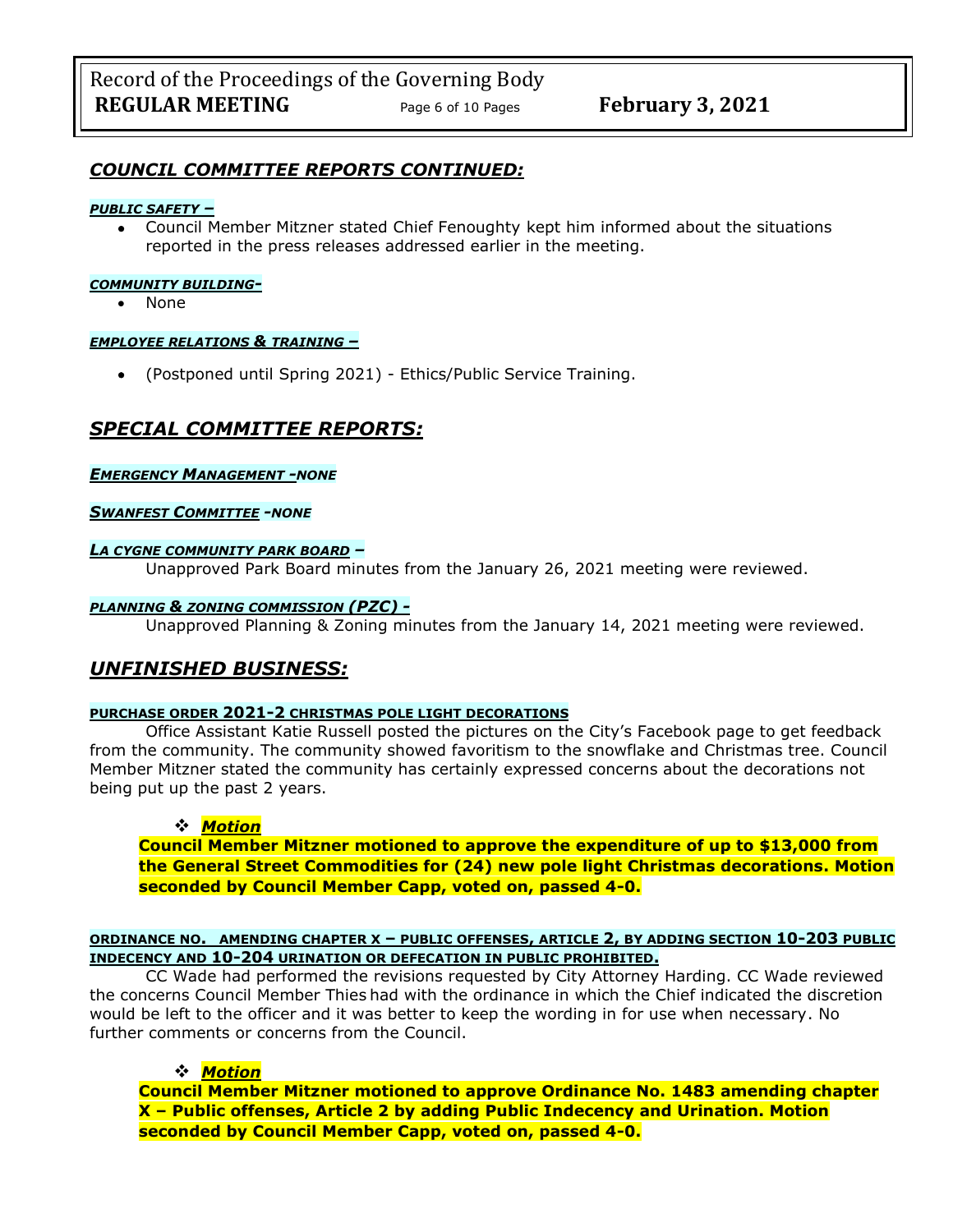## *COUNCIL COMMITTEE REPORTS CONTINUED:*

#### *PUBLIC SAFETY –*

• Council Member Mitzner stated Chief Fenoughty kept him informed about the situations reported in the press releases addressed earlier in the meeting.

#### *COMMUNITY BUILDING-*

• None

#### *EMPLOYEE RELATIONS & TRAINING –*

• (Postponed until Spring 2021) - Ethics/Public Service Training.

## *SPECIAL COMMITTEE REPORTS:*

#### *EMERGENCY MANAGEMENT -NONE*

#### *SWANFEST COMMITTEE -NONE*

#### *LA CYGNE COMMUNITY PARK BOARD –*

Unapproved Park Board minutes from the January 26, 2021 meeting were reviewed.

#### *PLANNING & ZONING COMMISSION (PZC) -*

Unapproved Planning & Zoning minutes from the January 14, 2021 meeting were reviewed.

## *UNFINISHED BUSINESS:*

#### **PURCHASE ORDER 2021-2 CHRISTMAS POLE LIGHT DECORATIONS**

Office Assistant Katie Russell posted the pictures on the City's Facebook page to get feedback from the community. The community showed favoritism to the snowflake and Christmas tree. Council Member Mitzner stated the community has certainly expressed concerns about the decorations not being put up the past 2 years.

#### ❖ *Motion*

**Council Member Mitzner motioned to approve the expenditure of up to \$13,000 from the General Street Commodities for (24) new pole light Christmas decorations. Motion seconded by Council Member Capp, voted on, passed 4-0.**

#### **ORDINANCE NO. AMENDING CHAPTER X – PUBLIC OFFENSES, ARTICLE 2, BY ADDING SECTION 10-203 PUBLIC INDECENCY AND 10-204 URINATION OR DEFECATION IN PUBLIC PROHIBITED.**

CC Wade had performed the revisions requested by City Attorney Harding. CC Wade reviewed the concerns Council Member Thies had with the ordinance in which the Chief indicated the discretion would be left to the officer and it was better to keep the wording in for use when necessary. No further comments or concerns from the Council.

### ❖ *Motion*

**Council Member Mitzner motioned to approve Ordinance No. 1483 amending chapter X – Public offenses, Article 2 by adding Public Indecency and Urination. Motion seconded by Council Member Capp, voted on, passed 4-0.**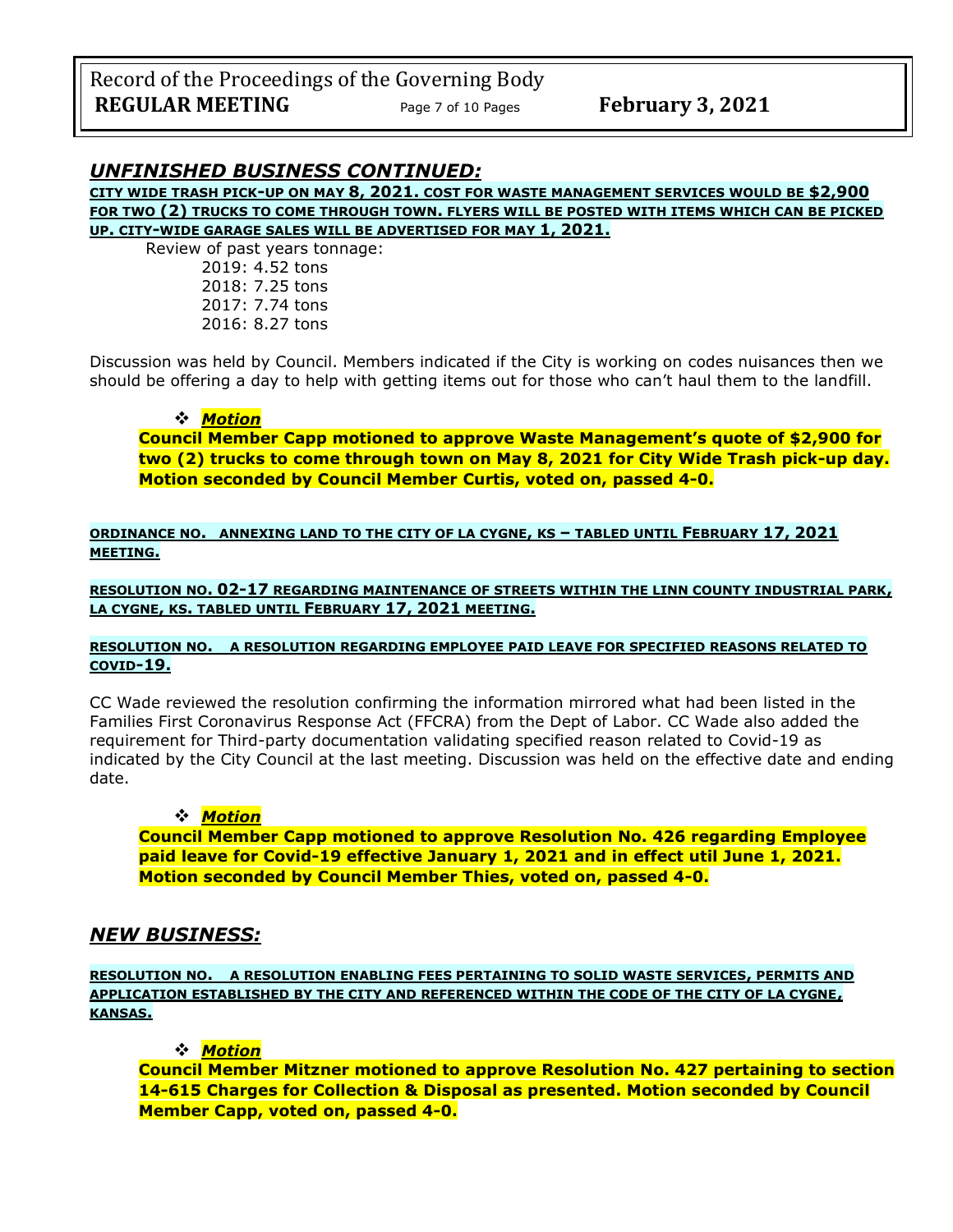## *UNFINISHED BUSINESS CONTINUED:*

**CITY WIDE TRASH PICK-UP ON MAY 8, 2021. COST FOR WASTE MANAGEMENT SERVICES WOULD BE \$2,900 FOR TWO (2) TRUCKS TO COME THROUGH TOWN. FLYERS WILL BE POSTED WITH ITEMS WHICH CAN BE PICKED UP. CITY-WIDE GARAGE SALES WILL BE ADVERTISED FOR MAY 1, 2021.**

Review of past years tonnage: 2019: 4.52 tons 2018: 7.25 tons 2017: 7.74 tons 2016: 8.27 tons

Discussion was held by Council. Members indicated if the City is working on codes nuisances then we should be offering a day to help with getting items out for those who can't haul them to the landfill.

### ❖ *Motion*

**Council Member Capp motioned to approve Waste Management's quote of \$2,900 for two (2) trucks to come through town on May 8, 2021 for City Wide Trash pick-up day. Motion seconded by Council Member Curtis, voted on, passed 4-0.**

**ORDINANCE NO. ANNEXING LAND TO THE CITY OF LA CYGNE, KS – TABLED UNTIL FEBRUARY 17, 2021 MEETING.**

**RESOLUTION NO. 02-17 REGARDING MAINTENANCE OF STREETS WITHIN THE LINN COUNTY INDUSTRIAL PARK, LA CYGNE, KS. TABLED UNTIL FEBRUARY 17, 2021 MEETING.**

#### **RESOLUTION NO. A RESOLUTION REGARDING EMPLOYEE PAID LEAVE FOR SPECIFIED REASONS RELATED TO COVID-19.**

CC Wade reviewed the resolution confirming the information mirrored what had been listed in the Families First Coronavirus Response Act (FFCRA) from the Dept of Labor. CC Wade also added the requirement for Third-party documentation validating specified reason related to Covid-19 as indicated by the City Council at the last meeting. Discussion was held on the effective date and ending date.

### ❖ *Motion*

**Council Member Capp motioned to approve Resolution No. 426 regarding Employee paid leave for Covid-19 effective January 1, 2021 and in effect util June 1, 2021. Motion seconded by Council Member Thies, voted on, passed 4-0.**

## *NEW BUSINESS:*

**RESOLUTION NO. A RESOLUTION ENABLING FEES PERTAINING TO SOLID WASTE SERVICES, PERMITS AND APPLICATION ESTABLISHED BY THE CITY AND REFERENCED WITHIN THE CODE OF THE CITY OF LA CYGNE, KANSAS.**

❖ *Motion* 

**Council Member Mitzner motioned to approve Resolution No. 427 pertaining to section 14-615 Charges for Collection & Disposal as presented. Motion seconded by Council Member Capp, voted on, passed 4-0.**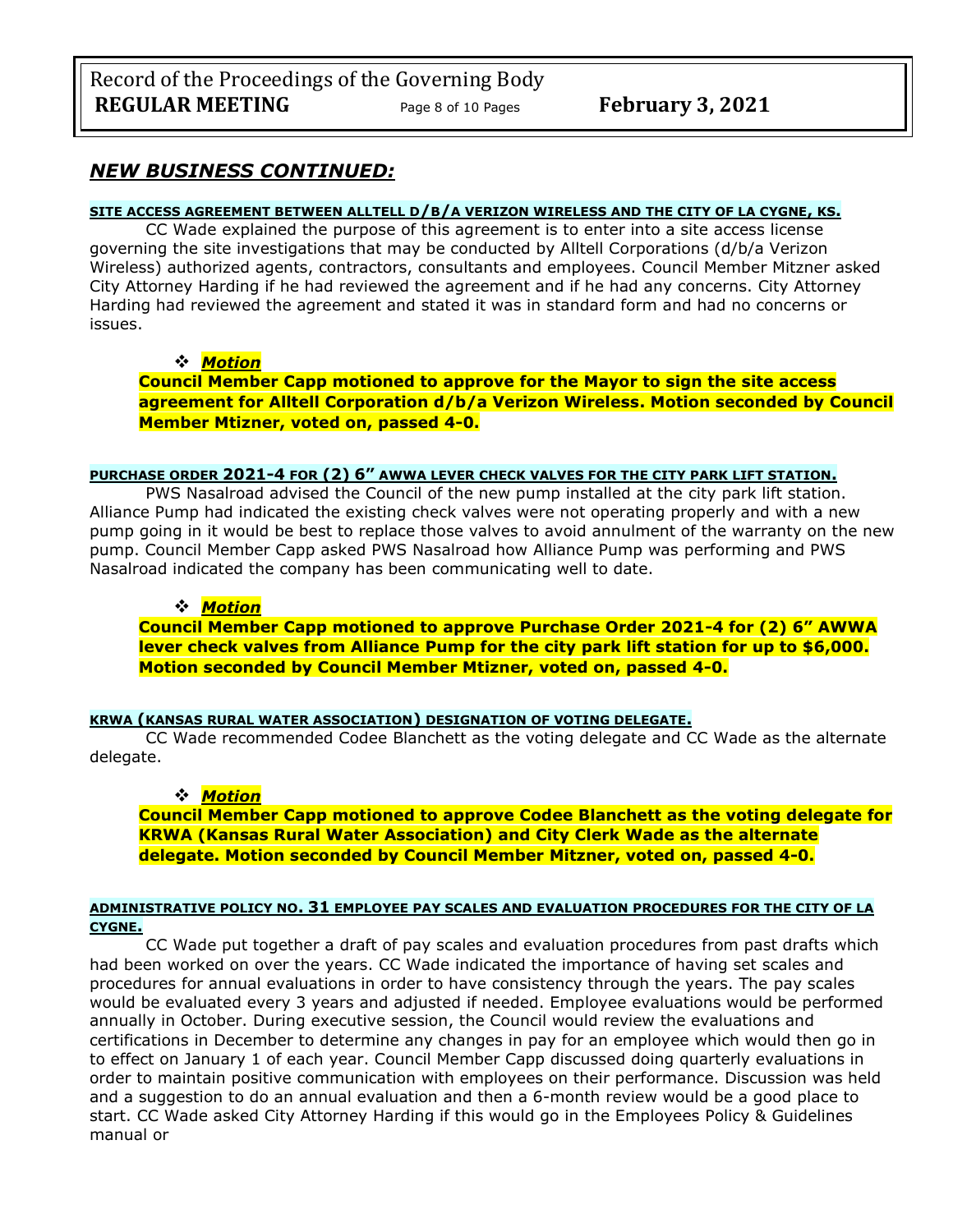## *NEW BUSINESS CONTINUED:*

### **SITE ACCESS AGREEMENT BETWEEN ALLTELL D/B/A VERIZON WIRELESS AND THE CITY OF LA CYGNE, KS.**

CC Wade explained the purpose of this agreement is to enter into a site access license governing the site investigations that may be conducted by Alltell Corporations (d/b/a Verizon Wireless) authorized agents, contractors, consultants and employees. Council Member Mitzner asked City Attorney Harding if he had reviewed the agreement and if he had any concerns. City Attorney Harding had reviewed the agreement and stated it was in standard form and had no concerns or issues.

### ❖ *Motion*

**Council Member Capp motioned to approve for the Mayor to sign the site access agreement for Alltell Corporation d/b/a Verizon Wireless. Motion seconded by Council Member Mtizner, voted on, passed 4-0.**

### **PURCHASE ORDER 2021-4 FOR (2) 6" AWWA LEVER CHECK VALVES FOR THE CITY PARK LIFT STATION.**

PWS Nasalroad advised the Council of the new pump installed at the city park lift station. Alliance Pump had indicated the existing check valves were not operating properly and with a new pump going in it would be best to replace those valves to avoid annulment of the warranty on the new pump. Council Member Capp asked PWS Nasalroad how Alliance Pump was performing and PWS Nasalroad indicated the company has been communicating well to date.

### ❖ *Motion*

**Council Member Capp motioned to approve Purchase Order 2021-4 for (2) 6" AWWA lever check valves from Alliance Pump for the city park lift station for up to \$6,000. Motion seconded by Council Member Mtizner, voted on, passed 4-0.**

#### **KRWA (KANSAS RURAL WATER ASSOCIATION) DESIGNATION OF VOTING DELEGATE.**

CC Wade recommended Codee Blanchett as the voting delegate and CC Wade as the alternate delegate.

### ❖ *Motion*

**Council Member Capp motioned to approve Codee Blanchett as the voting delegate for KRWA (Kansas Rural Water Association) and City Clerk Wade as the alternate delegate. Motion seconded by Council Member Mitzner, voted on, passed 4-0.**

#### **ADMINISTRATIVE POLICY NO. 31 EMPLOYEE PAY SCALES AND EVALUATION PROCEDURES FOR THE CITY OF LA CYGNE.**

CC Wade put together a draft of pay scales and evaluation procedures from past drafts which had been worked on over the years. CC Wade indicated the importance of having set scales and procedures for annual evaluations in order to have consistency through the years. The pay scales would be evaluated every 3 years and adjusted if needed. Employee evaluations would be performed annually in October. During executive session, the Council would review the evaluations and certifications in December to determine any changes in pay for an employee which would then go in to effect on January 1 of each year. Council Member Capp discussed doing quarterly evaluations in order to maintain positive communication with employees on their performance. Discussion was held and a suggestion to do an annual evaluation and then a 6-month review would be a good place to start. CC Wade asked City Attorney Harding if this would go in the Employees Policy & Guidelines manual or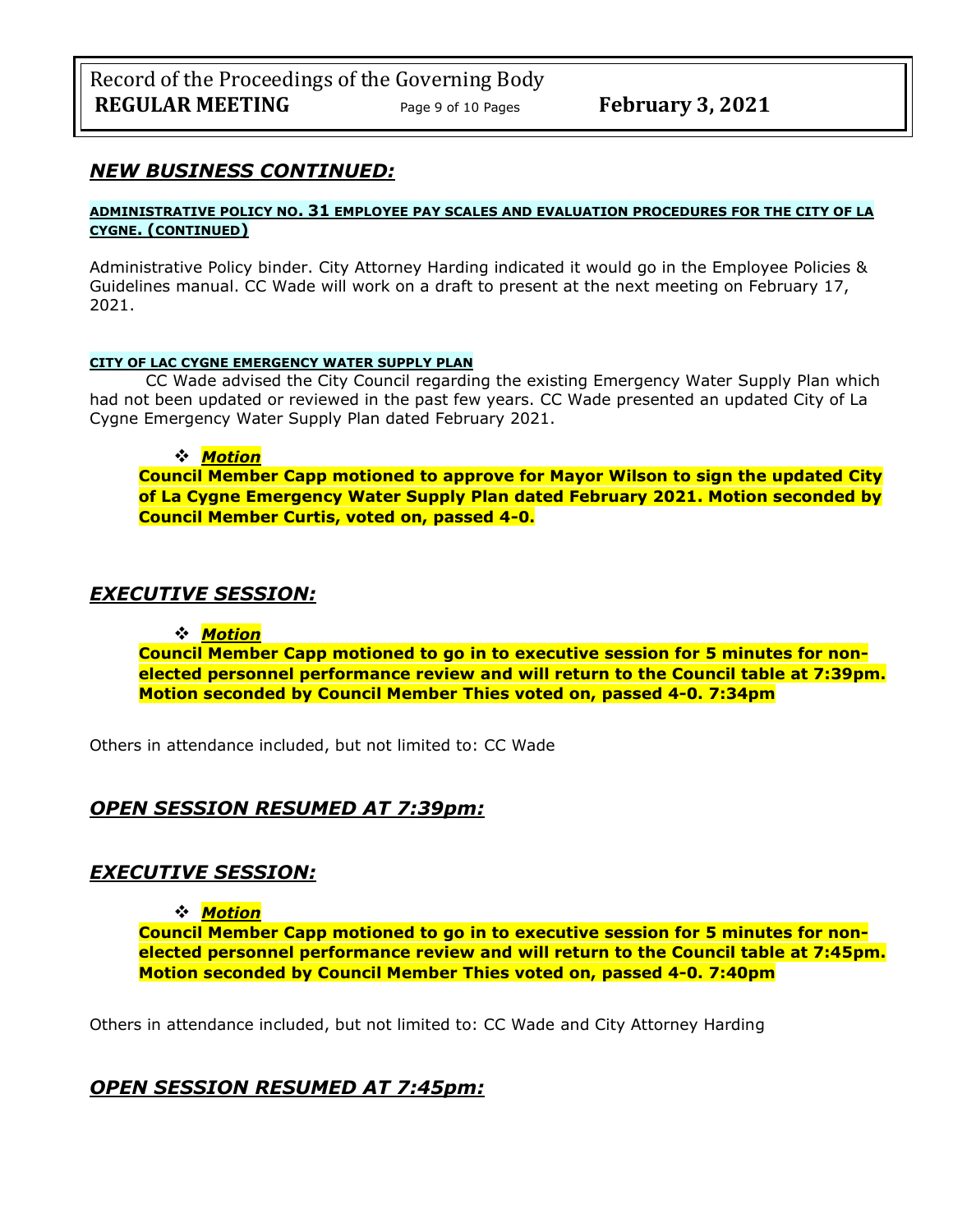## *NEW BUSINESS CONTINUED:*

#### **ADMINISTRATIVE POLICY NO. 31 EMPLOYEE PAY SCALES AND EVALUATION PROCEDURES FOR THE CITY OF LA CYGNE. (CONTINUED)**

Administrative Policy binder. City Attorney Harding indicated it would go in the Employee Policies & Guidelines manual. CC Wade will work on a draft to present at the next meeting on February 17, 2021.

#### **CITY OF LAC CYGNE EMERGENCY WATER SUPPLY PLAN**

CC Wade advised the City Council regarding the existing Emergency Water Supply Plan which had not been updated or reviewed in the past few years. CC Wade presented an updated City of La Cygne Emergency Water Supply Plan dated February 2021.

#### ❖ *Motion*

**Council Member Capp motioned to approve for Mayor Wilson to sign the updated City of La Cygne Emergency Water Supply Plan dated February 2021. Motion seconded by Council Member Curtis, voted on, passed 4-0.**

## *EXECUTIVE SESSION:*

### ❖ *Motion*

**Council Member Capp motioned to go in to executive session for 5 minutes for nonelected personnel performance review and will return to the Council table at 7:39pm. Motion seconded by Council Member Thies voted on, passed 4-0. 7:34pm** 

Others in attendance included, but not limited to: CC Wade

## *OPEN SESSION RESUMED AT 7:39pm:*

## *EXECUTIVE SESSION:*

### ❖ *Motion*

**Council Member Capp motioned to go in to executive session for 5 minutes for nonelected personnel performance review and will return to the Council table at 7:45pm. Motion seconded by Council Member Thies voted on, passed 4-0. 7:40pm** 

Others in attendance included, but not limited to: CC Wade and City Attorney Harding

## *OPEN SESSION RESUMED AT 7:45pm:*